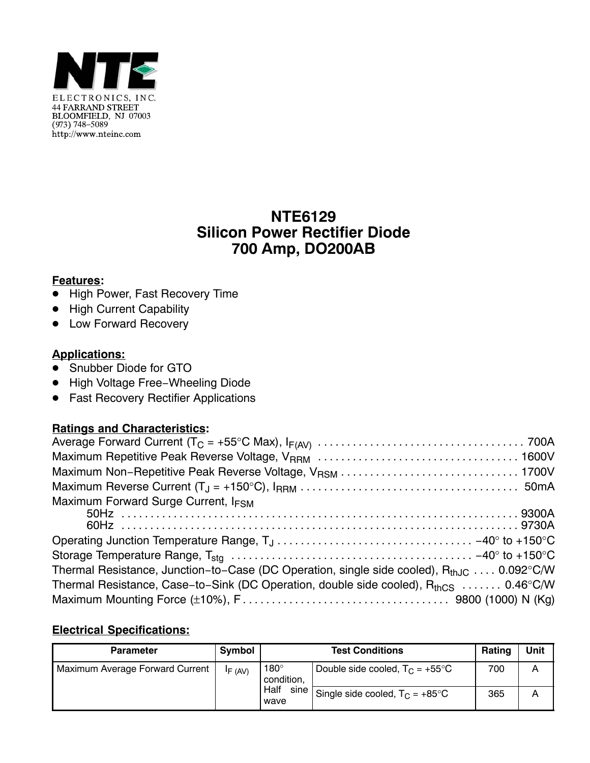

## **NTE6129 Silicon Power Rectifier Diode 700 Amp, DO200AB**

### **Features:**

- High Power, Fast Recovery Time
- High Current Capability
- Low Forward Recovery

### **Applications:**

- Snubber Diode for GTO
- High Voltage Free-Wheeling Diode
- Fast Recovery Rectifier Applications

#### **Ratings and Characteristics:**

| Maximum Forward Surge Current, IFSM                                                            |
|------------------------------------------------------------------------------------------------|
|                                                                                                |
|                                                                                                |
|                                                                                                |
|                                                                                                |
| Thermal Resistance, Junction-to-Case (DC Operation, single side cooled), $R_{th,IC}$ 0.092°C/W |
| Thermal Resistance, Case-to-Sink (DC Operation, double side cooled), $R_{thCS}$ 0.46°C/W       |
|                                                                                                |

### **Electrical Specifications:**

| <b>Parameter</b>                | Symbol  |                                          | Rating                                   | Unit |   |
|---------------------------------|---------|------------------------------------------|------------------------------------------|------|---|
| Maximum Average Forward Current | IF (AV) | $180^\circ$<br>condition,                | Double side cooled, $T_C = +55^{\circ}C$ | 700  | Α |
| Half<br>wave                    | sine    | Single side cooled, $T_C = +85^{\circ}C$ | 365                                      | Α    |   |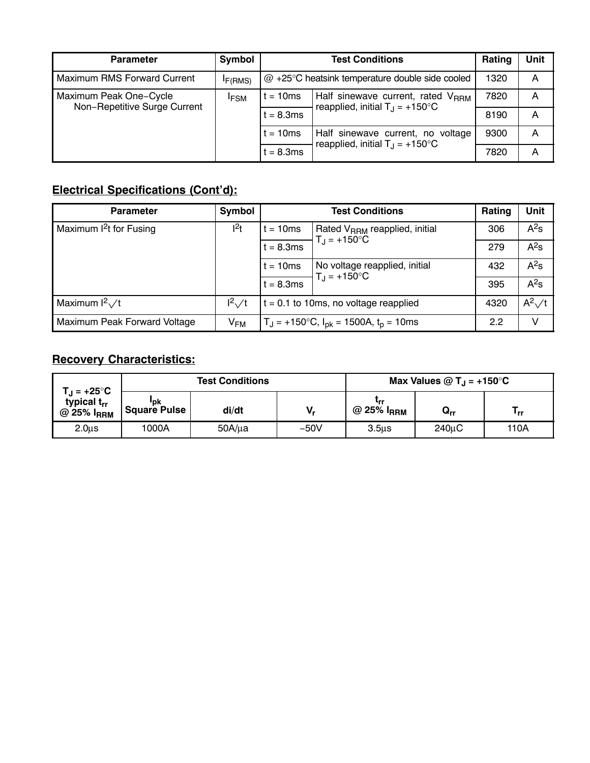| <b>Parameter</b>             | <b>Symbol</b>        |                                                            | Rating                                                                                              | Unit |   |
|------------------------------|----------------------|------------------------------------------------------------|-----------------------------------------------------------------------------------------------------|------|---|
| Maximum RMS Forward Current  | I <sub>F</sub> (RMS) | $@ + 25^{\circ}$ C heatsink temperature double side cooled | 1320                                                                                                | A    |   |
| Maximum Peak One-Cycle       | <b>IFSM</b>          | $t = 10ms$                                                 | Half sinewave current, rated V <sub>RRM</sub><br>reapplied, initial $T_{\text{J}} = +150^{\circ}$ C | 7820 | A |
| Non-Repetitive Surge Current |                      | $t = 8.3ms$                                                |                                                                                                     | 8190 | A |
|                              |                      | $t = 10ms$                                                 | Half sinewave current, no<br>voltage<br>reapplied, initial $T_{\rm J}$ = +150°C                     | 9300 | A |
|                              |                      | $t = 8.3ms$                                                |                                                                                                     | 7820 | A |

# **Electrical Specifications (Cont'd):**

| <b>Parameter</b>                  | Symbol        |                                                  | Rating                                                             | Unit           |        |
|-----------------------------------|---------------|--------------------------------------------------|--------------------------------------------------------------------|----------------|--------|
| Maximum <sup>2</sup> t for Fusing | $ ^{2}t $     | $t = 10ms$                                       | Rated V <sub>RRM</sub> reapplied, initial<br>$T_J = +150^{\circ}C$ | 306            | $A^2s$ |
|                                   |               | $t = 8.3ms$                                      |                                                                    | 279            | $A^2s$ |
|                                   |               | $t = 10ms$                                       | No voltage reapplied, initial<br>$T_J = +150^{\circ}C$             | 432            | $A^2s$ |
|                                   |               | $t = 8.3ms$                                      |                                                                    | 395            | $A^2s$ |
| Maximum $l^2\sqrt{t}$             | $I^2\sqrt{t}$ | $t = 0.1$ to 10ms, no voltage reapplied          | 4320                                                               | $A^2 \sqrt{t}$ |        |
| Maximum Peak Forward Voltage      | $V_{FM}$      | $T_J = +150$ °C, $I_{pk} = 1500A$ , $t_p = 10ms$ | 2.2                                                                | V              |        |

# **Recovery Characteristics:**

| $\mathsf{L}_\mathsf{J}$ = +25°C              |                     | <b>Test Conditions</b> |        | Max Values @ $T_{\rm J}$ = +150°C |                   |      |
|----------------------------------------------|---------------------|------------------------|--------|-----------------------------------|-------------------|------|
| typical t <sub>rr</sub><br>$@$ 25% $I_{RRM}$ | "pk<br>Square Pulse | di/dt                  | V,     | Lrr<br>@ 25% $I_{\rm RRM}$        | $\mathbf{Q_{rr}}$ | ' rr |
| 2.0 <sub>µ</sub> s                           | 1000A               | $50A/\mu a$            | $-50V$ | 3.5 <sub>us</sub>                 | 240uC             | 110A |